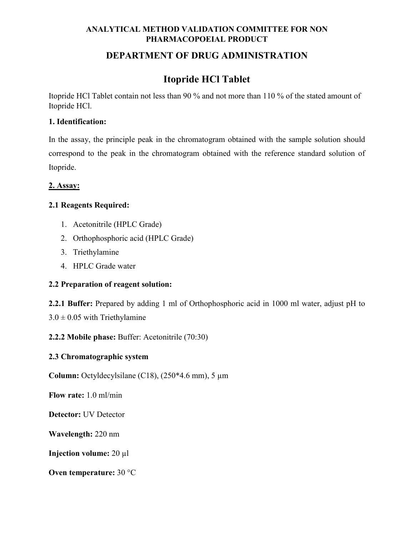## **ANALYTICAL METHOD VALIDATION COMMITTEE FOR NON PHARMACOPOEIAL PRODUCT**

## **DEPARTMENT OF DRUG ADMINISTRATION**

## **Itopride HCl Tablet**

Itopride HCl Tablet contain not less than 90 % and not more than 110 % of the stated amount of Itopride HCl.

#### **1. Identification:**

In the assay, the principle peak in the chromatogram obtained with the sample solution should correspond to the peak in the chromatogram obtained with the reference standard solution of Itopride.

## **2. Assay:**

## **2.1 Reagents Required:**

- 1. Acetonitrile (HPLC Grade)
- 2. Orthophosphoric acid (HPLC Grade)
- 3. Triethylamine
- 4. HPLC Grade water

## **2.2 Preparation of reagent solution:**

**2.2.1 Buffer:** Prepared by adding 1 ml of Orthophosphoric acid in 1000 ml water, adjust pH to

 $3.0 \pm 0.05$  with Triethylamine

## **2.2.2 Mobile phase:** Buffer: Acetonitrile (70:30)

## **2.3 Chromatographic system**

**Column:** Octyldecylsilane (C18), (250\*4.6 mm), 5 µm

**Flow rate:** 1.0 ml/min

**Detector:** UV Detector

**Wavelength:** 220 nm

**Injection volume:** 20 µl

**Oven temperature:** 30 °C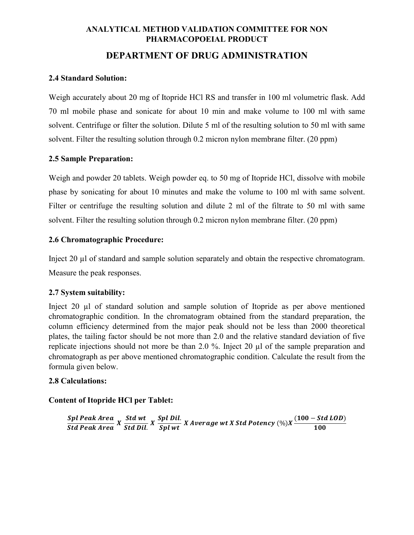# **ANALYTICAL METHOD VALIDATION COMMITTEE FOR NON PHARMACOPOEIAL PRODUCT**

## **DEPARTMENT OF DRUG ADMINISTRATION**

#### **2.4 Standard Solution:**

Weigh accurately about 20 mg of Itopride HCl RS and transfer in 100 ml volumetric flask. Add 70 ml mobile phase and sonicate for about 10 min and make volume to 100 ml with same solvent. Centrifuge or filter the solution. Dilute 5 ml of the resulting solution to 50 ml with same solvent. Filter the resulting solution through 0.2 micron nylon membrane filter. (20 ppm)

#### **2.5 Sample Preparation:**

Weigh and powder 20 tablets. Weigh powder eq. to 50 mg of Itopride HCl, dissolve with mobile phase by sonicating for about 10 minutes and make the volume to 100 ml with same solvent. Filter or centrifuge the resulting solution and dilute 2 ml of the filtrate to 50 ml with same solvent. Filter the resulting solution through 0.2 micron nylon membrane filter. (20 ppm)

#### **2.6 Chromatographic Procedure:**

Inject 20 µl of standard and sample solution separately and obtain the respective chromatogram. Measure the peak responses.

#### **2.7 System suitability:**

Inject 20 µl of standard solution and sample solution of Itopride as per above mentioned chromatographic condition. In the chromatogram obtained from the standard preparation, the column efficiency determined from the major peak should not be less than 2000 theoretical plates, the tailing factor should be not more than 2.0 and the relative standard deviation of five replicate injections should not more be than 2.0 %. Inject 20 µl of the sample preparation and chromatograph as per above mentioned chromatographic condition. Calculate the result from the formula given below.

#### **2.8 Calculations:**

#### **Content of Itopride HCl per Tablet:**

Spl Peak Area<br>Std Peak Area X Std Dil <u>Std wt</u>  $X$  Spl Dil.<br>Std Dil.  $X$  Spl wt  $X$  Average wt  $X$  Std Potency  $(\%)X\frac{(100 - Std\,LOD)}{100}$